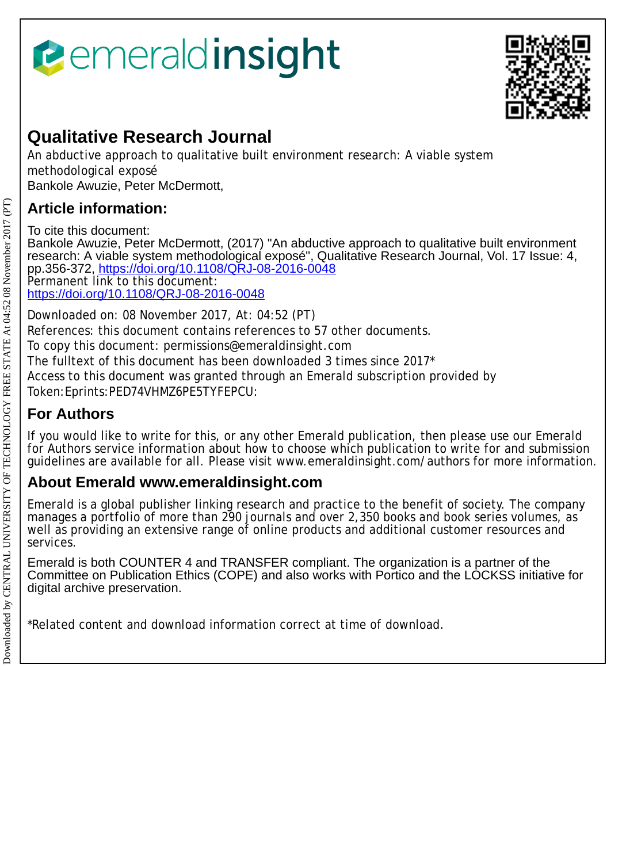# *<u><b>e*emeraldinsight</u>



## **Qualitative Research Journal**

An abductive approach to qualitative built environment research: A viable system methodological exposé Bankole Awuzie, Peter McDermott,

## **Article information:**

To cite this document:

Bankole Awuzie, Peter McDermott, (2017) "An abductive approach to qualitative built environment research: A viable system methodological exposé", Qualitative Research Journal, Vol. 17 Issue: 4, pp.356-372, <https://doi.org/10.1108/QRJ-08-2016-0048> Permanent link to this document: <https://doi.org/10.1108/QRJ-08-2016-0048>

Downloaded on: 08 November 2017, At: 04:52 (PT)

References: this document contains references to 57 other documents.

To copy this document: permissions@emeraldinsight.com

The fulltext of this document has been downloaded 3 times since 2017\*

Access to this document was granted through an Emerald subscription provided by Token:Eprints:PED74VHMZ6PE5TYFEPCU:

## **For Authors**

If you would like to write for this, or any other Emerald publication, then please use our Emerald for Authors service information about how to choose which publication to write for and submission guidelines are available for all. Please visit www.emeraldinsight.com/authors for more information.

## **About Emerald www.emeraldinsight.com**

Emerald is a global publisher linking research and practice to the benefit of society. The company manages a portfolio of more than 290 journals and over 2,350 books and book series volumes, as well as providing an extensive range of online products and additional customer resources and services.

Emerald is both COUNTER 4 and TRANSFER compliant. The organization is a partner of the Committee on Publication Ethics (COPE) and also works with Portico and the LOCKSS initiative for digital archive preservation.

\*Related content and download information correct at time of download.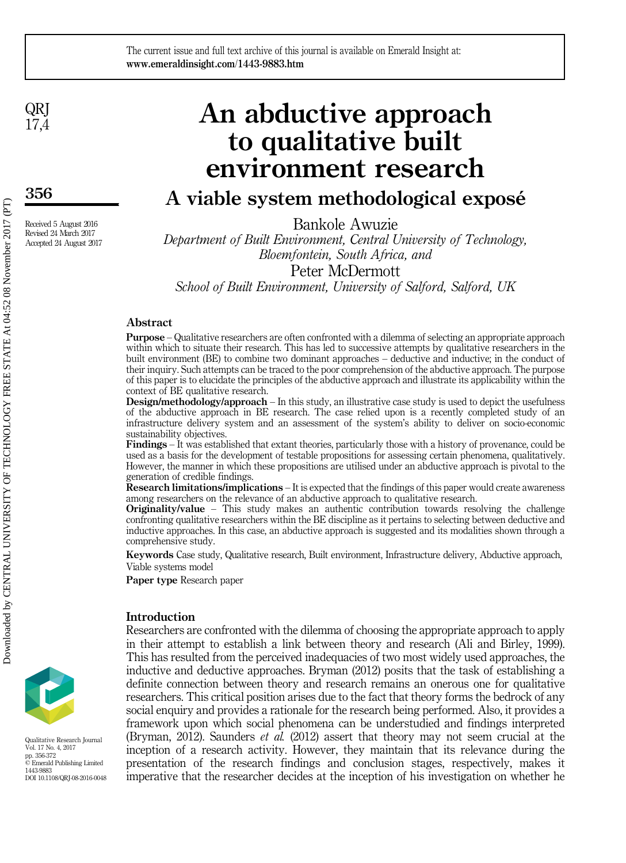356

Received 5 August 2016 Revised 24 March 2017 Accepted 24 August 2017

## An abductive approach to qualitative built environment research

### A viable system methodological exposé

Bankole Awuzie

Department of Built Environment, Central University of Technology, Bloemfontein, South Africa, and

Peter McDermott

School of Built Environment, University of Salford, Salford, UK

#### Abstract

Purpose – Qualitative researchers are often confronted with a dilemma of selecting an appropriate approach within which to situate their research. This has led to successive attempts by qualitative researchers in the built environment (BE) to combine two dominant approaches – deductive and inductive; in the conduct of their inquiry. Such attempts can be traced to the poor comprehension of the abductive approach. The purpose of this paper is to elucidate the principles of the abductive approach and illustrate its applicability within the context of BE qualitative research.

Design/methodology/approach – In this study, an illustrative case study is used to depict the usefulness of the abductive approach in BE research. The case relied upon is a recently completed study of an infrastructure delivery system and an assessment of the system's ability to deliver on socio-economic sustainability objectives.

Findings – It was established that extant theories, particularly those with a history of provenance, could be used as a basis for the development of testable propositions for assessing certain phenomena, qualitatively. However, the manner in which these propositions are utilised under an abductive approach is pivotal to the generation of credible findings.

Research limitations/implications – It is expected that the findings of this paper would create awareness among researchers on the relevance of an abductive approach to qualitative research.

Originality/value – This study makes an authentic contribution towards resolving the challenge confronting qualitative researchers within the BE discipline as it pertains to selecting between deductive and inductive approaches. In this case, an abductive approach is suggested and its modalities shown through a comprehensive study.

Keywords Case study, Qualitative research, Built environment, Infrastructure delivery, Abductive approach, Viable systems model

Paper type Research paper

#### Introduction

Researchers are confronted with the dilemma of choosing the appropriate approach to apply in their attempt to establish a link between theory and research (Ali and Birley, 1999). This has resulted from the perceived inadequacies of two most widely used approaches, the inductive and deductive approaches. Bryman (2012) posits that the task of establishing a definite connection between theory and research remains an onerous one for qualitative researchers. This critical position arises due to the fact that theory forms the bedrock of any social enquiry and provides a rationale for the research being performed. Also, it provides a framework upon which social phenomena can be understudied and findings interpreted (Bryman, 2012). Saunders et al. (2012) assert that theory may not seem crucial at the inception of a research activity. However, they maintain that its relevance during the presentation of the research findings and conclusion stages, respectively, makes it imperative that the researcher decides at the inception of his investigation on whether he



Qualitative Research Journal Vol. 17 No. 4, 2017 pp. 356-372 © Emerald Publishing Limited 1443-9883 DOI 10.1108/QRJ-08-2016-0048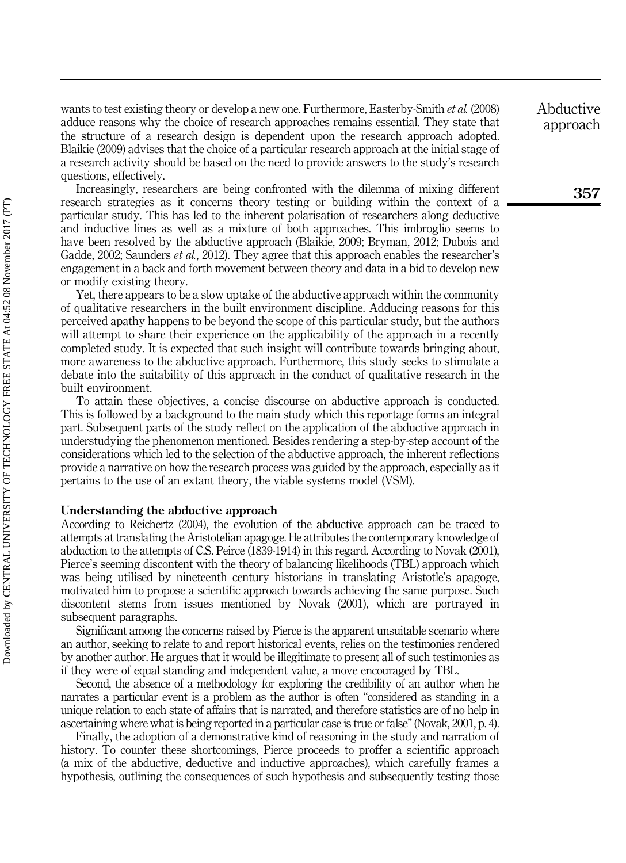wants to test existing theory or develop a new one. Furthermore, Easterby-Smith et al. (2008) adduce reasons why the choice of research approaches remains essential. They state that the structure of a research design is dependent upon the research approach adopted. Blaikie (2009) advises that the choice of a particular research approach at the initial stage of a research activity should be based on the need to provide answers to the study's research questions, effectively.

Increasingly, researchers are being confronted with the dilemma of mixing different research strategies as it concerns theory testing or building within the context of a particular study. This has led to the inherent polarisation of researchers along deductive and inductive lines as well as a mixture of both approaches. This imbroglio seems to have been resolved by the abductive approach (Blaikie, 2009; Bryman, 2012; Dubois and Gadde, 2002; Saunders *et al.*, 2012). They agree that this approach enables the researcher's engagement in a back and forth movement between theory and data in a bid to develop new or modify existing theory.

Yet, there appears to be a slow uptake of the abductive approach within the community of qualitative researchers in the built environment discipline. Adducing reasons for this perceived apathy happens to be beyond the scope of this particular study, but the authors will attempt to share their experience on the applicability of the approach in a recently completed study. It is expected that such insight will contribute towards bringing about, more awareness to the abductive approach. Furthermore, this study seeks to stimulate a debate into the suitability of this approach in the conduct of qualitative research in the built environment.

To attain these objectives, a concise discourse on abductive approach is conducted. This is followed by a background to the main study which this reportage forms an integral part. Subsequent parts of the study reflect on the application of the abductive approach in understudying the phenomenon mentioned. Besides rendering a step-by-step account of the considerations which led to the selection of the abductive approach, the inherent reflections provide a narrative on how the research process was guided by the approach, especially as it pertains to the use of an extant theory, the viable systems model (VSM).

#### Understanding the abductive approach

According to Reichertz (2004), the evolution of the abductive approach can be traced to attempts at translating the Aristotelian apagoge. He attributes the contemporary knowledge of abduction to the attempts of C.S. Peirce (1839-1914) in this regard. According to Novak (2001), Pierce's seeming discontent with the theory of balancing likelihoods (TBL) approach which was being utilised by nineteenth century historians in translating Aristotle's apagoge, motivated him to propose a scientific approach towards achieving the same purpose. Such discontent stems from issues mentioned by Novak (2001), which are portrayed in subsequent paragraphs.

Significant among the concerns raised by Pierce is the apparent unsuitable scenario where an author, seeking to relate to and report historical events, relies on the testimonies rendered by another author. He argues that it would be illegitimate to present all of such testimonies as if they were of equal standing and independent value, a move encouraged by TBL.

Second, the absence of a methodology for exploring the credibility of an author when he narrates a particular event is a problem as the author is often "considered as standing in a unique relation to each state of affairs that is narrated, and therefore statistics are of no help in ascertaining where what is being reported in a particular case is true or false"(Novak, 2001, p. 4).

Finally, the adoption of a demonstrative kind of reasoning in the study and narration of history. To counter these shortcomings, Pierce proceeds to proffer a scientific approach (a mix of the abductive, deductive and inductive approaches), which carefully frames a hypothesis, outlining the consequences of such hypothesis and subsequently testing those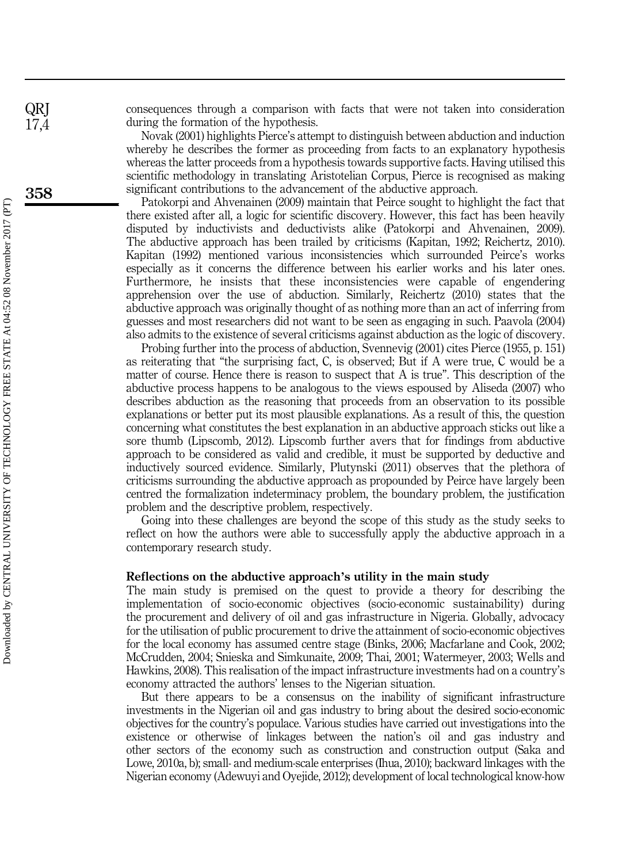consequences through a comparison with facts that were not taken into consideration during the formation of the hypothesis.

Novak (2001) highlights Pierce's attempt to distinguish between abduction and induction whereby he describes the former as proceeding from facts to an explanatory hypothesis whereas the latter proceeds from a hypothesis towards supportive facts. Having utilised this scientific methodology in translating Aristotelian Corpus, Pierce is recognised as making significant contributions to the advancement of the abductive approach.

Patokorpi and Ahvenainen (2009) maintain that Peirce sought to highlight the fact that there existed after all, a logic for scientific discovery. However, this fact has been heavily disputed by inductivists and deductivists alike (Patokorpi and Ahvenainen, 2009). The abductive approach has been trailed by criticisms (Kapitan, 1992; Reichertz, 2010). Kapitan (1992) mentioned various inconsistencies which surrounded Peirce's works especially as it concerns the difference between his earlier works and his later ones. Furthermore, he insists that these inconsistencies were capable of engendering apprehension over the use of abduction. Similarly, Reichertz (2010) states that the abductive approach was originally thought of as nothing more than an act of inferring from guesses and most researchers did not want to be seen as engaging in such. Paavola (2004) also admits to the existence of several criticisms against abduction as the logic of discovery.

Probing further into the process of abduction, Svennevig (2001) cites Pierce (1955, p. 151) as reiterating that "the surprising fact, C, is observed; But if A were true, C would be a matter of course. Hence there is reason to suspect that A is true". This description of the abductive process happens to be analogous to the views espoused by Aliseda (2007) who describes abduction as the reasoning that proceeds from an observation to its possible explanations or better put its most plausible explanations. As a result of this, the question concerning what constitutes the best explanation in an abductive approach sticks out like a sore thumb (Lipscomb, 2012). Lipscomb further avers that for findings from abductive approach to be considered as valid and credible, it must be supported by deductive and inductively sourced evidence. Similarly, Plutynski (2011) observes that the plethora of criticisms surrounding the abductive approach as propounded by Peirce have largely been centred the formalization indeterminacy problem, the boundary problem, the justification problem and the descriptive problem, respectively.

Going into these challenges are beyond the scope of this study as the study seeks to reflect on how the authors were able to successfully apply the abductive approach in a contemporary research study.

#### Reflections on the abductive approach's utility in the main study

The main study is premised on the quest to provide a theory for describing the implementation of socio-economic objectives (socio-economic sustainability) during the procurement and delivery of oil and gas infrastructure in Nigeria. Globally, advocacy for the utilisation of public procurement to drive the attainment of socio-economic objectives for the local economy has assumed centre stage (Binks, 2006; Macfarlane and Cook, 2002; McCrudden, 2004; Snieska and Simkunaite, 2009; Thai, 2001; Watermeyer, 2003; Wells and Hawkins, 2008). This realisation of the impact infrastructure investments had on a country's economy attracted the authors' lenses to the Nigerian situation.

But there appears to be a consensus on the inability of significant infrastructure investments in the Nigerian oil and gas industry to bring about the desired socio-economic objectives for the country's populace. Various studies have carried out investigations into the existence or otherwise of linkages between the nation's oil and gas industry and other sectors of the economy such as construction and construction output (Saka and Lowe, 2010a, b); small- and medium-scale enterprises (Ihua, 2010); backward linkages with the Nigerian economy (Adewuyi and Oyejide, 2012); development of local technological know-how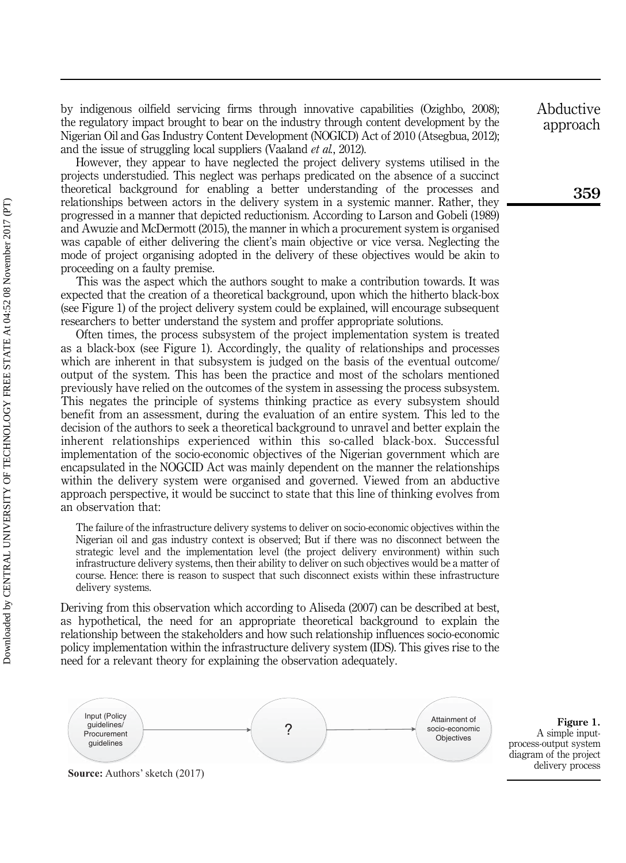by indigenous oilfield servicing firms through innovative capabilities (Ozighbo, 2008); the regulatory impact brought to bear on the industry through content development by the Nigerian Oil and Gas Industry Content Development (NOGICD) Act of 2010 (Atsegbua, 2012); and the issue of struggling local suppliers (Vaaland *et al.*, 2012).

However, they appear to have neglected the project delivery systems utilised in the projects understudied. This neglect was perhaps predicated on the absence of a succinct theoretical background for enabling a better understanding of the processes and relationships between actors in the delivery system in a systemic manner. Rather, they progressed in a manner that depicted reductionism. According to Larson and Gobeli (1989) and Awuzie and McDermott (2015), the manner in which a procurement system is organised was capable of either delivering the client's main objective or vice versa. Neglecting the mode of project organising adopted in the delivery of these objectives would be akin to proceeding on a faulty premise.

This was the aspect which the authors sought to make a contribution towards. It was expected that the creation of a theoretical background, upon which the hitherto black-box (see Figure 1) of the project delivery system could be explained, will encourage subsequent researchers to better understand the system and proffer appropriate solutions.

Often times, the process subsystem of the project implementation system is treated as a black-box (see Figure 1). Accordingly, the quality of relationships and processes which are inherent in that subsystem is judged on the basis of the eventual outcome/ output of the system. This has been the practice and most of the scholars mentioned previously have relied on the outcomes of the system in assessing the process subsystem. This negates the principle of systems thinking practice as every subsystem should benefit from an assessment, during the evaluation of an entire system. This led to the decision of the authors to seek a theoretical background to unravel and better explain the inherent relationships experienced within this so-called black-box. Successful implementation of the socio-economic objectives of the Nigerian government which are encapsulated in the NOGCID Act was mainly dependent on the manner the relationships within the delivery system were organised and governed. Viewed from an abductive approach perspective, it would be succinct to state that this line of thinking evolves from an observation that:

The failure of the infrastructure delivery systems to deliver on socio-economic objectives within the Nigerian oil and gas industry context is observed; But if there was no disconnect between the strategic level and the implementation level (the project delivery environment) within such infrastructure delivery systems, then their ability to deliver on such objectives would be a matter of course. Hence: there is reason to suspect that such disconnect exists within these infrastructure delivery systems.

Deriving from this observation which according to Aliseda (2007) can be described at best, as hypothetical, the need for an appropriate theoretical background to explain the relationship between the stakeholders and how such relationship influences socio-economic policy implementation within the infrastructure delivery system (IDS). This gives rise to the need for a relevant theory for explaining the observation adequately.



A simple inputprocess-output system diagram of the project delivery process

Abductive approach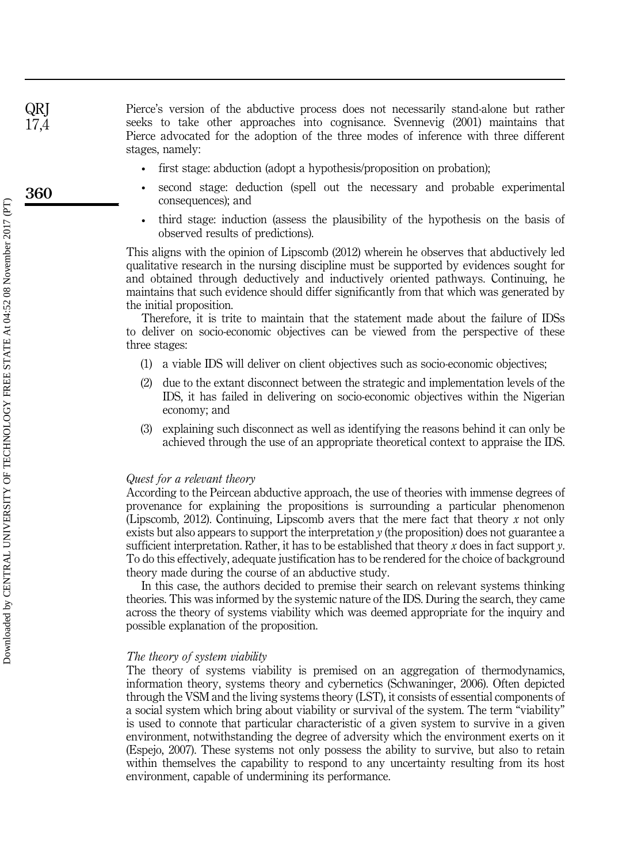Pierce's version of the abductive process does not necessarily stand-alone but rather seeks to take other approaches into cognisance. Svennevig (2001) maintains that Pierce advocated for the adoption of the three modes of inference with three different stages, namely:

- first stage: abduction (adopt a hypothesis/proposition on probation);
- second stage: deduction (spell out the necessary and probable experimental consequences); and
- third stage: induction (assess the plausibility of the hypothesis on the basis of observed results of predictions).

This aligns with the opinion of Lipscomb (2012) wherein he observes that abductively led qualitative research in the nursing discipline must be supported by evidences sought for and obtained through deductively and inductively oriented pathways. Continuing, he maintains that such evidence should differ significantly from that which was generated by the initial proposition.

Therefore, it is trite to maintain that the statement made about the failure of IDSs to deliver on socio-economic objectives can be viewed from the perspective of these three stages:

- (1) a viable IDS will deliver on client objectives such as socio-economic objectives;
- (2) due to the extant disconnect between the strategic and implementation levels of the IDS, it has failed in delivering on socio-economic objectives within the Nigerian economy; and
- (3) explaining such disconnect as well as identifying the reasons behind it can only be achieved through the use of an appropriate theoretical context to appraise the IDS.

#### Quest for a relevant theory

According to the Peircean abductive approach, the use of theories with immense degrees of provenance for explaining the propositions is surrounding a particular phenomenon (Lipscomb, 2012). Continuing, Lipscomb avers that the mere fact that theory  $x$  not only exists but also appears to support the interpretation  $\gamma$  (the proposition) does not guarantee a sufficient interpretation. Rather, it has to be established that theory x does in fact support y. To do this effectively, adequate justification has to be rendered for the choice of background theory made during the course of an abductive study.

In this case, the authors decided to premise their search on relevant systems thinking theories. This was informed by the systemic nature of the IDS. During the search, they came across the theory of systems viability which was deemed appropriate for the inquiry and possible explanation of the proposition.

#### The theory of system viability

The theory of systems viability is premised on an aggregation of thermodynamics, information theory, systems theory and cybernetics (Schwaninger, 2006). Often depicted through the VSM and the living systems theory (LST), it consists of essential components of a social system which bring about viability or survival of the system. The term "viability" is used to connote that particular characteristic of a given system to survive in a given environment, notwithstanding the degree of adversity which the environment exerts on it (Espejo, 2007). These systems not only possess the ability to survive, but also to retain within themselves the capability to respond to any uncertainty resulting from its host environment, capable of undermining its performance.

**QRI** 17,4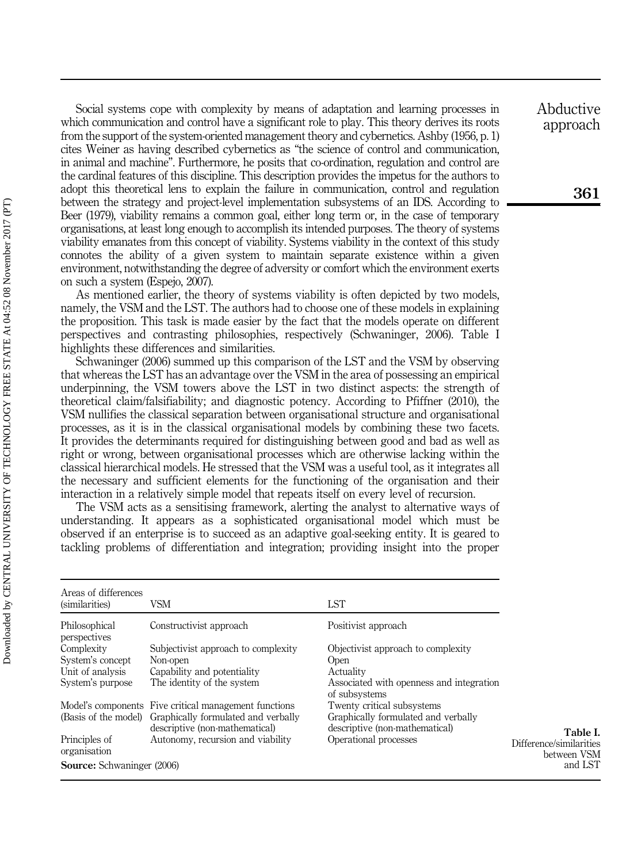Social systems cope with complexity by means of adaptation and learning processes in which communication and control have a significant role to play. This theory derives its roots from the support of the system-oriented management theory and cybernetics. Ashby (1956, p. 1) cites Weiner as having described cybernetics as "the science of control and communication, in animal and machine". Furthermore, he posits that co-ordination, regulation and control are the cardinal features of this discipline. This description provides the impetus for the authors to adopt this theoretical lens to explain the failure in communication, control and regulation between the strategy and project-level implementation subsystems of an IDS. According to Beer (1979), viability remains a common goal, either long term or, in the case of temporary organisations, at least long enough to accomplish its intended purposes. The theory of systems viability emanates from this concept of viability. Systems viability in the context of this study connotes the ability of a given system to maintain separate existence within a given environment, notwithstanding the degree of adversity or comfort which the environment exerts on such a system (Espejo, 2007).

As mentioned earlier, the theory of systems viability is often depicted by two models, namely, the VSM and the LST. The authors had to choose one of these models in explaining the proposition. This task is made easier by the fact that the models operate on different perspectives and contrasting philosophies, respectively (Schwaninger, 2006). Table I highlights these differences and similarities.

Schwaninger (2006) summed up this comparison of the LST and the VSM by observing that whereas the LST has an advantage over the VSM in the area of possessing an empirical underpinning, the VSM towers above the LST in two distinct aspects: the strength of theoretical claim/falsifiability; and diagnostic potency. According to Pfiffner (2010), the VSM nullifies the classical separation between organisational structure and organisational processes, as it is in the classical organisational models by combining these two facets. It provides the determinants required for distinguishing between good and bad as well as right or wrong, between organisational processes which are otherwise lacking within the classical hierarchical models. He stressed that the VSM was a useful tool, as it integrates all the necessary and sufficient elements for the functioning of the organisation and their interaction in a relatively simple model that repeats itself on every level of recursion.

The VSM acts as a sensitising framework, alerting the analyst to alternative ways of understanding. It appears as a sophisticated organisational model which must be observed if an enterprise is to succeed as an adaptive goal-seeking entity. It is geared to tackling problems of differentiation and integration; providing insight into the proper

| Areas of differences<br>(similarities) | VSM                                                                                        | <b>LST</b>                                                            |                                        |
|----------------------------------------|--------------------------------------------------------------------------------------------|-----------------------------------------------------------------------|----------------------------------------|
| Philosophical<br>perspectives          | Constructivist approach                                                                    | Positivist approach                                                   |                                        |
| Complexity                             | Subjectivist approach to complexity                                                        | Objectivist approach to complexity                                    |                                        |
| System's concept                       | Non-open                                                                                   | <b>Open</b>                                                           |                                        |
| Unit of analysis                       | Capability and potentiality                                                                | Actuality                                                             |                                        |
| System's purpose                       | The identity of the system                                                                 | Associated with openness and integration<br>of subsystems             |                                        |
|                                        | Model's components Five critical management functions                                      | Twenty critical subsystems                                            |                                        |
|                                        | (Basis of the model) Graphically formulated and verbally<br>descriptive (non-mathematical) | Graphically formulated and verbally<br>descriptive (non-mathematical) | Table I.                               |
| Principles of<br>organisation          | Autonomy, recursion and viability                                                          | Operational processes                                                 | Difference/similarities<br>between VSM |
| <b>Source:</b> Schwaninger (2006)      |                                                                                            |                                                                       | and LST                                |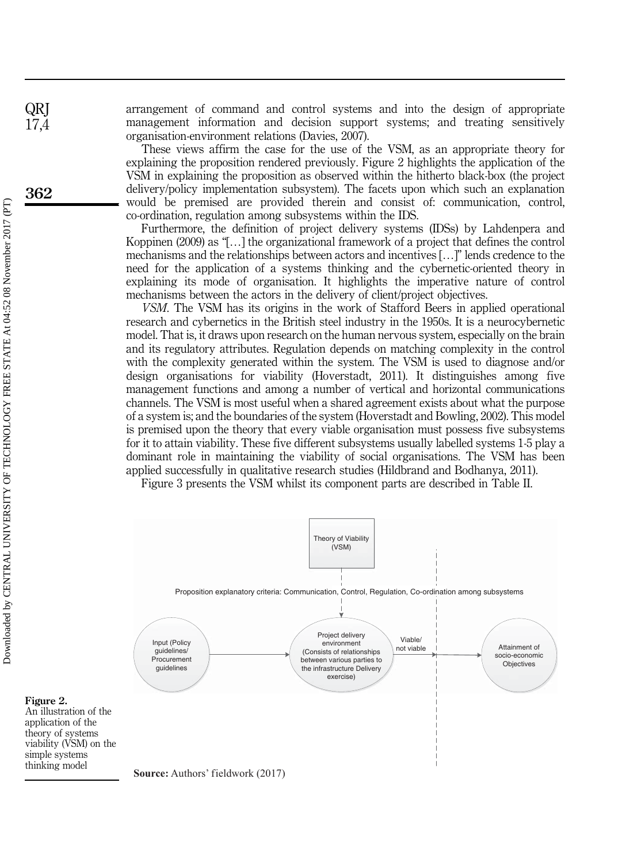arrangement of command and control systems and into the design of appropriate management information and decision support systems; and treating sensitively organisation-environment relations (Davies, 2007).

These views affirm the case for the use of the VSM, as an appropriate theory for explaining the proposition rendered previously. Figure 2 highlights the application of the VSM in explaining the proposition as observed within the hitherto black-box (the project delivery/policy implementation subsystem). The facets upon which such an explanation would be premised are provided therein and consist of: communication, control, co-ordination, regulation among subsystems within the IDS.

Furthermore, the definition of project delivery systems (IDSs) by Lahdenpera and Koppinen (2009) as "[…] the organizational framework of a project that defines the control mechanisms and the relationships between actors and incentives […]" lends credence to the need for the application of a systems thinking and the cybernetic-oriented theory in explaining its mode of organisation. It highlights the imperative nature of control mechanisms between the actors in the delivery of client/project objectives.

VSM. The VSM has its origins in the work of Stafford Beers in applied operational research and cybernetics in the British steel industry in the 1950s. It is a neurocybernetic model. That is, it draws upon research on the human nervous system, especially on the brain and its regulatory attributes. Regulation depends on matching complexity in the control with the complexity generated within the system. The VSM is used to diagnose and/or design organisations for viability (Hoverstadt, 2011). It distinguishes among five management functions and among a number of vertical and horizontal communications channels. The VSM is most useful when a shared agreement exists about what the purpose of a system is; and the boundaries of the system (Hoverstadt and Bowling, 2002). This model is premised upon the theory that every viable organisation must possess five subsystems for it to attain viability. These five different subsystems usually labelled systems 1-5 play a dominant role in maintaining the viability of social organisations. The VSM has been applied successfully in qualitative research studies (Hildbrand and Bodhanya, 2011).

Figure 3 presents the VSM whilst its component parts are described in Table II.



**Source:** Authors' fieldwork (2017)

362

Figure 2.

application of the theory of systems

simple systems thinking model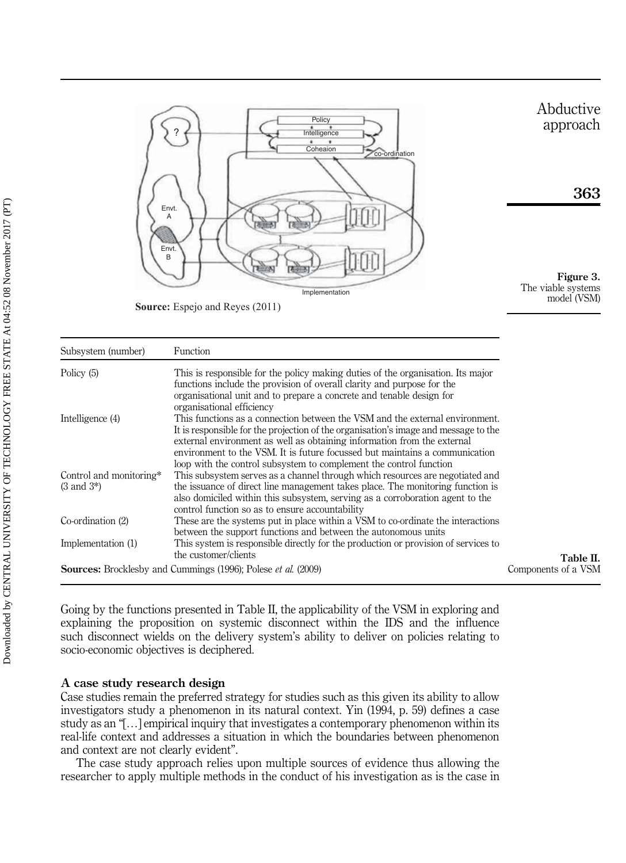

| Subsystem (number)                                                          | F unction                                                                                                                                                                                                                                                                                                                                                                                           |           |
|-----------------------------------------------------------------------------|-----------------------------------------------------------------------------------------------------------------------------------------------------------------------------------------------------------------------------------------------------------------------------------------------------------------------------------------------------------------------------------------------------|-----------|
| Policy (5)                                                                  | This is responsible for the policy making duties of the organisation. Its major<br>functions include the provision of overall clarity and purpose for the<br>organisational unit and to prepare a concrete and tenable design for<br>organisational efficiency                                                                                                                                      |           |
| Intelligence (4)                                                            | This functions as a connection between the VSM and the external environment.<br>It is responsible for the projection of the organisation's image and message to the<br>external environment as well as obtaining information from the external<br>environment to the VSM. It is future focussed but maintains a communication<br>loop with the control subsystem to complement the control function |           |
| Control and monitoring*<br>$(3 \text{ and } 3^*)$                           | This subsystem serves as a channel through which resources are negotiated and<br>the issuance of direct line management takes place. The monitoring function is<br>also domiciled within this subsystem, serving as a corroboration agent to the<br>control function so as to ensure accountability                                                                                                 |           |
| Co-ordination (2)                                                           | These are the systems put in place within a VSM to co-ordinate the interactions<br>between the support functions and between the autonomous units                                                                                                                                                                                                                                                   |           |
| Implementation (1)                                                          | This system is responsible directly for the production or provision of services to<br>the customer/clients                                                                                                                                                                                                                                                                                          | Table II. |
| <b>Sources:</b> Brocklesby and Cummings (1996); Polese <i>et al.</i> (2009) | Components of a VSM                                                                                                                                                                                                                                                                                                                                                                                 |           |

Going by the functions presented in Table II, the applicability of the VSM in exploring and explaining the proposition on systemic disconnect within the IDS and the influence such disconnect wields on the delivery system's ability to deliver on policies relating to socio-economic objectives is deciphered.

#### A case study research design

Case studies remain the preferred strategy for studies such as this given its ability to allow investigators study a phenomenon in its natural context. Yin (1994, p. 59) defines a case study as an "[…] empirical inquiry that investigates a contemporary phenomenon within its real-life context and addresses a situation in which the boundaries between phenomenon and context are not clearly evident".

The case study approach relies upon multiple sources of evidence thus allowing the researcher to apply multiple methods in the conduct of his investigation as is the case in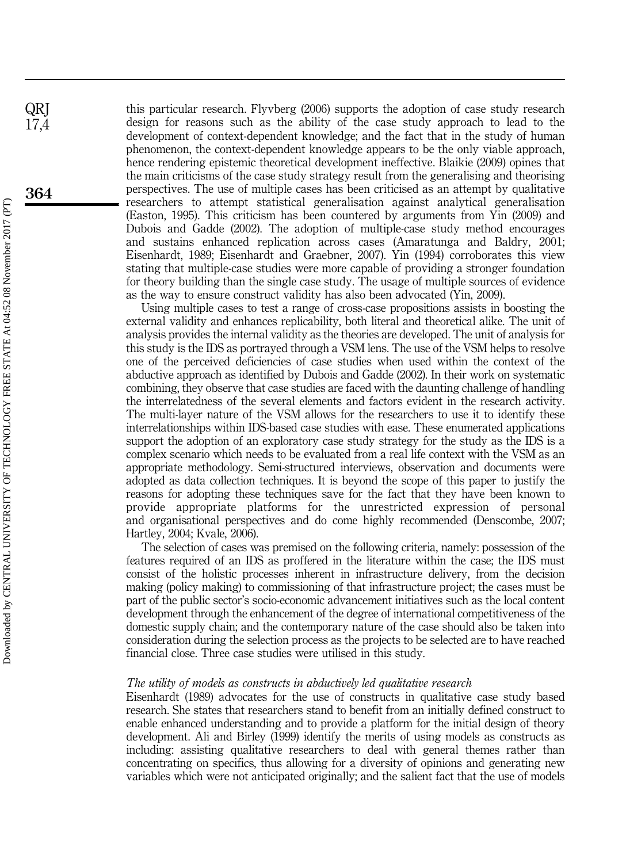this particular research. Flyvberg (2006) supports the adoption of case study research design for reasons such as the ability of the case study approach to lead to the development of context-dependent knowledge; and the fact that in the study of human phenomenon, the context-dependent knowledge appears to be the only viable approach, hence rendering epistemic theoretical development ineffective. Blaikie (2009) opines that the main criticisms of the case study strategy result from the generalising and theorising perspectives. The use of multiple cases has been criticised as an attempt by qualitative researchers to attempt statistical generalisation against analytical generalisation (Easton, 1995). This criticism has been countered by arguments from Yin (2009) and Dubois and Gadde (2002). The adoption of multiple-case study method encourages and sustains enhanced replication across cases (Amaratunga and Baldry, 2001; Eisenhardt, 1989; Eisenhardt and Graebner, 2007). Yin (1994) corroborates this view stating that multiple-case studies were more capable of providing a stronger foundation for theory building than the single case study. The usage of multiple sources of evidence as the way to ensure construct validity has also been advocated (Yin, 2009).

Using multiple cases to test a range of cross-case propositions assists in boosting the external validity and enhances replicability, both literal and theoretical alike. The unit of analysis provides the internal validity as the theories are developed. The unit of analysis for this study is the IDS as portrayed through a VSM lens. The use of the VSM helps to resolve one of the perceived deficiencies of case studies when used within the context of the abductive approach as identified by Dubois and Gadde (2002). In their work on systematic combining, they observe that case studies are faced with the daunting challenge of handling the interrelatedness of the several elements and factors evident in the research activity. The multi-layer nature of the VSM allows for the researchers to use it to identify these interrelationships within IDS-based case studies with ease. These enumerated applications support the adoption of an exploratory case study strategy for the study as the IDS is a complex scenario which needs to be evaluated from a real life context with the VSM as an appropriate methodology. Semi-structured interviews, observation and documents were adopted as data collection techniques. It is beyond the scope of this paper to justify the reasons for adopting these techniques save for the fact that they have been known to provide appropriate platforms for the unrestricted expression of personal and organisational perspectives and do come highly recommended (Denscombe, 2007; Hartley, 2004; Kvale, 2006).

The selection of cases was premised on the following criteria, namely: possession of the features required of an IDS as proffered in the literature within the case; the IDS must consist of the holistic processes inherent in infrastructure delivery, from the decision making (policy making) to commissioning of that infrastructure project; the cases must be part of the public sector's socio-economic advancement initiatives such as the local content development through the enhancement of the degree of international competitiveness of the domestic supply chain; and the contemporary nature of the case should also be taken into consideration during the selection process as the projects to be selected are to have reached financial close. Three case studies were utilised in this study.

#### The utility of models as constructs in abductively led qualitative research

Eisenhardt (1989) advocates for the use of constructs in qualitative case study based research. She states that researchers stand to benefit from an initially defined construct to enable enhanced understanding and to provide a platform for the initial design of theory development. Ali and Birley (1999) identify the merits of using models as constructs as including: assisting qualitative researchers to deal with general themes rather than concentrating on specifics, thus allowing for a diversity of opinions and generating new variables which were not anticipated originally; and the salient fact that the use of models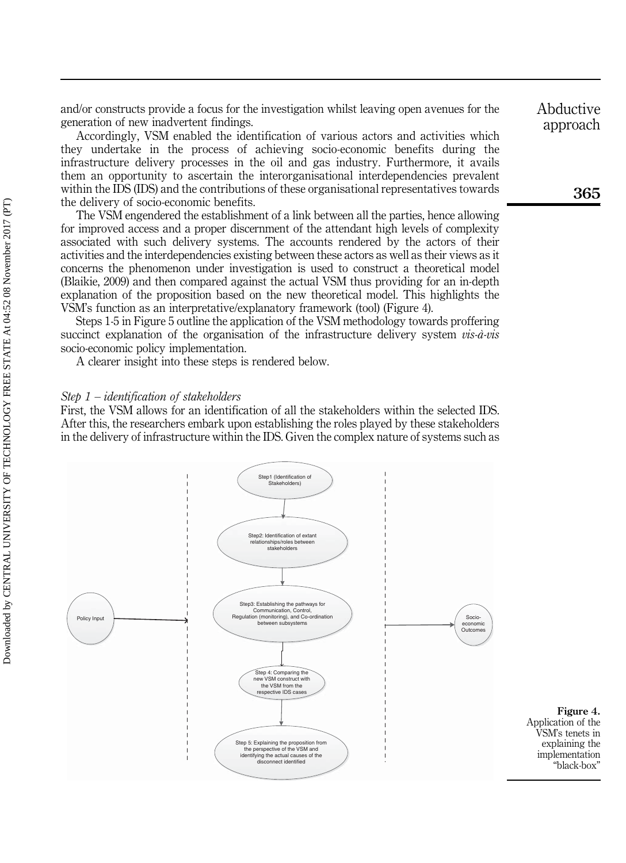and/or constructs provide a focus for the investigation whilst leaving open avenues for the generation of new inadvertent findings.

Accordingly, VSM enabled the identification of various actors and activities which they undertake in the process of achieving socio-economic benefits during the infrastructure delivery processes in the oil and gas industry. Furthermore, it avails them an opportunity to ascertain the interorganisational interdependencies prevalent within the IDS (IDS) and the contributions of these organisational representatives towards the delivery of socio-economic benefits.

The VSM engendered the establishment of a link between all the parties, hence allowing for improved access and a proper discernment of the attendant high levels of complexity associated with such delivery systems. The accounts rendered by the actors of their activities and the interdependencies existing between these actors as well as their views as it concerns the phenomenon under investigation is used to construct a theoretical model (Blaikie, 2009) and then compared against the actual VSM thus providing for an in-depth explanation of the proposition based on the new theoretical model. This highlights the VSM's function as an interpretative/explanatory framework (tool) (Figure 4).

Steps 1-5 in Figure 5 outline the application of the VSM methodology towards proffering succinct explanation of the organisation of the infrastructure delivery system  $vis\text{-}a\text{-}vis$ socio-economic policy implementation.

A clearer insight into these steps is rendered below.

#### Step 1 – identification of stakeholders

First, the VSM allows for an identification of all the stakeholders within the selected IDS. After this, the researchers embark upon establishing the roles played by these stakeholders in the delivery of infrastructure within the IDS. Given the complex nature of systems such as



Application of the VSM's tenets in explaining the implementation "black-box"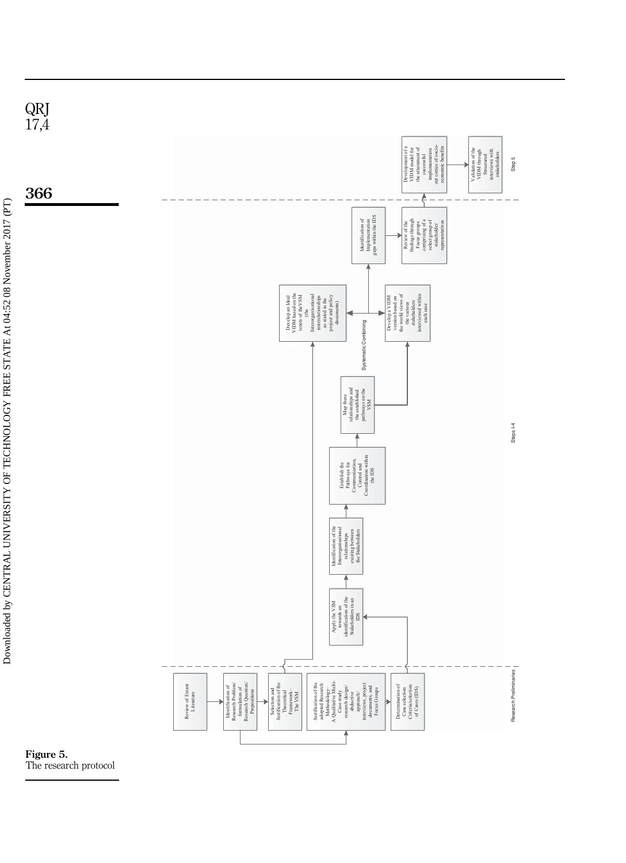

The research protocol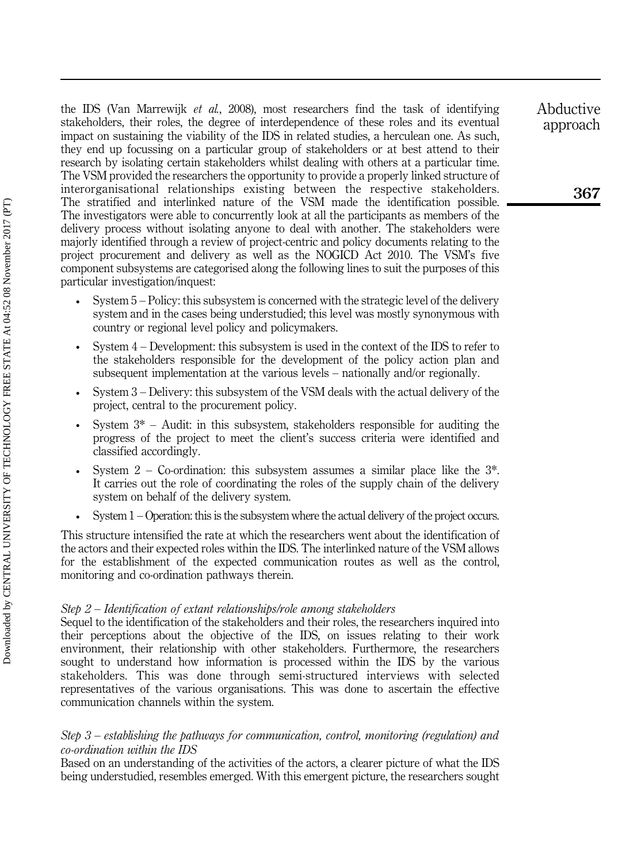the IDS (Van Marrewijk *et al.*, 2008), most researchers find the task of identifying stakeholders, their roles, the degree of interdependence of these roles and its eventual impact on sustaining the viability of the IDS in related studies, a herculean one. As such, they end up focussing on a particular group of stakeholders or at best attend to their research by isolating certain stakeholders whilst dealing with others at a particular time. The VSM provided the researchers the opportunity to provide a properly linked structure of interorganisational relationships existing between the respective stakeholders. The stratified and interlinked nature of the VSM made the identification possible. The investigators were able to concurrently look at all the participants as members of the delivery process without isolating anyone to deal with another. The stakeholders were majorly identified through a review of project-centric and policy documents relating to the project procurement and delivery as well as the NOGICD Act 2010. The VSM's five component subsystems are categorised along the following lines to suit the purposes of this particular investigation/inquest:

- System 5 Policy: this subsystem is concerned with the strategic level of the delivery system and in the cases being understudied; this level was mostly synonymous with country or regional level policy and policymakers.
- System 4 Development: this subsystem is used in the context of the IDS to refer to the stakeholders responsible for the development of the policy action plan and subsequent implementation at the various levels – nationally and/or regionally.
- System 3 Delivery: this subsystem of the VSM deals with the actual delivery of the project, central to the procurement policy.
- System  $3^*$  Audit: in this subsystem, stakeholders responsible for auditing the progress of the project to meet the client's success criteria were identified and classified accordingly.
- System 2 Co-ordination: this subsystem assumes a similar place like the  $3^*$ . It carries out the role of coordinating the roles of the supply chain of the delivery system on behalf of the delivery system.
- System 1 Operation: this is the subsystem where the actual delivery of the project occurs.

This structure intensified the rate at which the researchers went about the identification of the actors and their expected roles within the IDS. The interlinked nature of the VSM allows for the establishment of the expected communication routes as well as the control, monitoring and co-ordination pathways therein.

#### Step 2 – Identification of extant relationships/role among stakeholders

Sequel to the identification of the stakeholders and their roles, the researchers inquired into their perceptions about the objective of the IDS, on issues relating to their work environment, their relationship with other stakeholders. Furthermore, the researchers sought to understand how information is processed within the IDS by the various stakeholders. This was done through semi-structured interviews with selected representatives of the various organisations. This was done to ascertain the effective communication channels within the system.

#### Step 3 – establishing the pathways for communication, control, monitoring (regulation) and co-ordination within the IDS

Based on an understanding of the activities of the actors, a clearer picture of what the IDS being understudied, resembles emerged. With this emergent picture, the researchers sought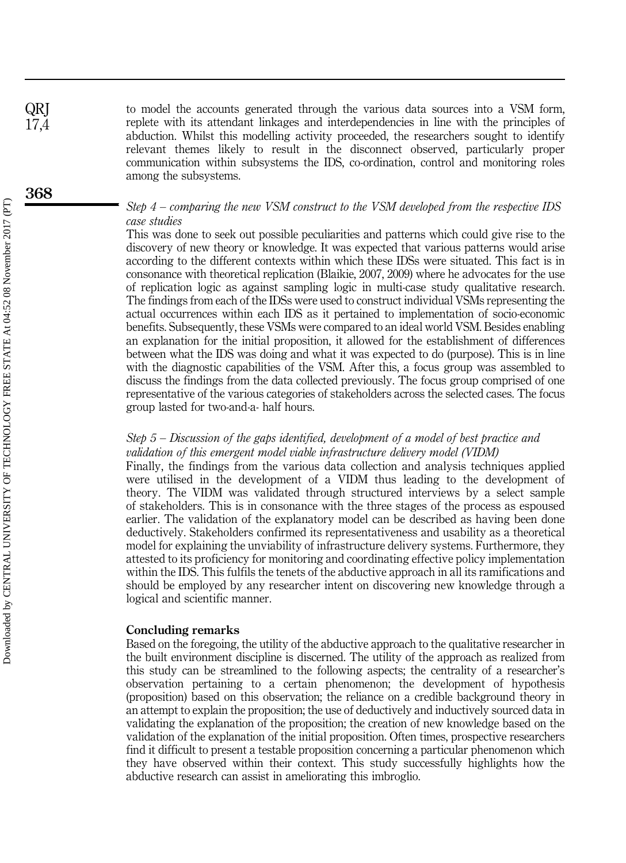to model the accounts generated through the various data sources into a VSM form, replete with its attendant linkages and interdependencies in line with the principles of abduction. Whilst this modelling activity proceeded, the researchers sought to identify relevant themes likely to result in the disconnect observed, particularly proper communication within subsystems the IDS, co-ordination, control and monitoring roles among the subsystems.

#### Step 4 – comparing the new VSM construct to the VSM developed from the respective IDS case studies

This was done to seek out possible peculiarities and patterns which could give rise to the discovery of new theory or knowledge. It was expected that various patterns would arise according to the different contexts within which these IDSs were situated. This fact is in consonance with theoretical replication (Blaikie, 2007, 2009) where he advocates for the use of replication logic as against sampling logic in multi-case study qualitative research. The findings from each of the IDSs were used to construct individual VSMs representing the actual occurrences within each IDS as it pertained to implementation of socio-economic benefits. Subsequently, these VSMs were compared to an ideal world VSM. Besides enabling an explanation for the initial proposition, it allowed for the establishment of differences between what the IDS was doing and what it was expected to do (purpose). This is in line with the diagnostic capabilities of the VSM. After this, a focus group was assembled to discuss the findings from the data collected previously. The focus group comprised of one representative of the various categories of stakeholders across the selected cases. The focus group lasted for two-and-a- half hours.

#### Step 5 – Discussion of the gaps identified, development of a model of best practice and validation of this emergent model viable infrastructure delivery model (VIDM)

Finally, the findings from the various data collection and analysis techniques applied were utilised in the development of a VIDM thus leading to the development of theory. The VIDM was validated through structured interviews by a select sample of stakeholders. This is in consonance with the three stages of the process as espoused earlier. The validation of the explanatory model can be described as having been done deductively. Stakeholders confirmed its representativeness and usability as a theoretical model for explaining the unviability of infrastructure delivery systems. Furthermore, they attested to its proficiency for monitoring and coordinating effective policy implementation within the IDS. This fulfils the tenets of the abductive approach in all its ramifications and should be employed by any researcher intent on discovering new knowledge through a logical and scientific manner.

#### Concluding remarks

Based on the foregoing, the utility of the abductive approach to the qualitative researcher in the built environment discipline is discerned. The utility of the approach as realized from this study can be streamlined to the following aspects; the centrality of a researcher's observation pertaining to a certain phenomenon; the development of hypothesis (proposition) based on this observation; the reliance on a credible background theory in an attempt to explain the proposition; the use of deductively and inductively sourced data in validating the explanation of the proposition; the creation of new knowledge based on the validation of the explanation of the initial proposition. Often times, prospective researchers find it difficult to present a testable proposition concerning a particular phenomenon which they have observed within their context. This study successfully highlights how the abductive research can assist in ameliorating this imbroglio.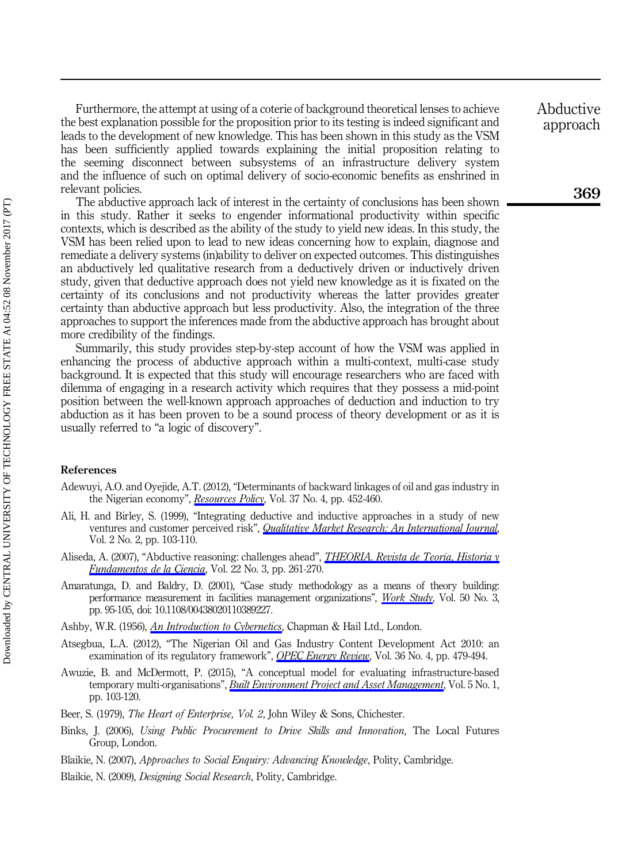Furthermore, the attempt at using of a coterie of background theoretical lenses to achieve the best explanation possible for the proposition prior to its testing is indeed significant and leads to the development of new knowledge. This has been shown in this study as the VSM has been sufficiently applied towards explaining the initial proposition relating to the seeming disconnect between subsystems of an infrastructure delivery system and the influence of such on optimal delivery of socio-economic benefits as enshrined in relevant policies.

The abductive approach lack of interest in the certainty of conclusions has been shown in this study. Rather it seeks to engender informational productivity within specific contexts, which is described as the ability of the study to yield new ideas. In this study, the VSM has been relied upon to lead to new ideas concerning how to explain, diagnose and remediate a delivery systems (in)ability to deliver on expected outcomes. This distinguishes an abductively led qualitative research from a deductively driven or inductively driven study, given that deductive approach does not yield new knowledge as it is fixated on the certainty of its conclusions and not productivity whereas the latter provides greater certainty than abductive approach but less productivity. Also, the integration of the three approaches to support the inferences made from the abductive approach has brought about more credibility of the findings.

Summarily, this study provides step-by-step account of how the VSM was applied in enhancing the process of abductive approach within a multi-context, multi-case study background. It is expected that this study will encourage researchers who are faced with dilemma of engaging in a research activity which requires that they possess a mid-point position between the well-known approach approaches of deduction and induction to try abduction as it has been proven to be a sound process of theory development or as it is usually referred to "a logic of discovery".

#### References

- Adewuyi, A.O. and Oyejide, A.T. (2012), "Determinants of backward linkages of oil and gas industry in the Nigerian economy", *[Resources Policy](http://www.emeraldinsight.com/action/showLinks?doi=10.1108%2FQRJ-08-2016-0048&crossref=10.1016%2Fj.resourpol.2012.06.007&isi=000313463700007&citationId=p_1)*, Vol. 37 No. 4, pp. 452-460.
- Ali, H. and Birley, S. (1999), "Integrating deductive and inductive approaches in a study of new ventures and customer perceived risk", *[Qualitative Market Research: An International Journal](http://www.emeraldinsight.com/action/showLinks?doi=10.1108%2FQRJ-08-2016-0048&system=10.1108%2F13522759910270016&citationId=p_2)*, Vol. 2 No. 2, pp. 103-110.
- Aliseda, A. (2007), "Abductive reasoning: challenges ahead", *[THEORIA. Revista de Teoría, Historia y](http://www.emeraldinsight.com/action/showLinks?doi=10.1108%2FQRJ-08-2016-0048&isi=000256933000007&citationId=p_3)* [Fundamentos de la Ciencia](http://www.emeraldinsight.com/action/showLinks?doi=10.1108%2FQRJ-08-2016-0048&isi=000256933000007&citationId=p_3), Vol. 22 No. 3, pp. 261-270.
- Amaratunga, D. and Baldry, D. (2001), "Case study methodology as a means of theory building: performance measurement in facilities management organizations", [Work Study](http://www.emeraldinsight.com/action/showLinks?doi=10.1108%2FQRJ-08-2016-0048&system=10.1108%2F00438020110389227&citationId=p_4), Vol. 50 No. 3, pp. 95-105, doi: 10.1108/00438020110389227.
- Ashby, W.R. (1956), *[An Introduction to Cybernetics](http://www.emeraldinsight.com/action/showLinks?doi=10.1108%2FQRJ-08-2016-0048&crossref=10.5962%2Fbhl.title.5851&citationId=p_5)*, Chapman & Hail Ltd., London.
- Atsegbua, L.A. (2012), "The Nigerian Oil and Gas Industry Content Development Act 2010: an examination of its regulatory framework", [OPEC Energy Review](http://www.emeraldinsight.com/action/showLinks?doi=10.1108%2FQRJ-08-2016-0048&crossref=10.1111%2Fj.1753-0237.2012.00225.x&citationId=p_6), Vol. 36 No. 4, pp. 479-494.
- Awuzie, B. and McDermott, P. (2015), "A conceptual model for evaluating infrastructure-based temporary multi-organisations", *[Built Environment Project and Asset Management](http://www.emeraldinsight.com/action/showLinks?doi=10.1108%2FQRJ-08-2016-0048&system=10.1108%2FBEPAM-10-2013-0052&isi=000359444700007&citationId=p_7)*, Vol. 5 No. 1, pp. 103-120.
- Beer, S. (1979), The Heart of Enterprise, Vol. 2, John Wiley & Sons, Chichester.
- Binks, J. (2006), Using Public Procurement to Drive Skills and Innovation, The Local Futures Group, London.
- Blaikie, N. (2007), Approaches to Social Enquiry: Advancing Knowledge, Polity, Cambridge.

Blaikie, N. (2009), Designing Social Research, Polity, Cambridge.

Abductive approach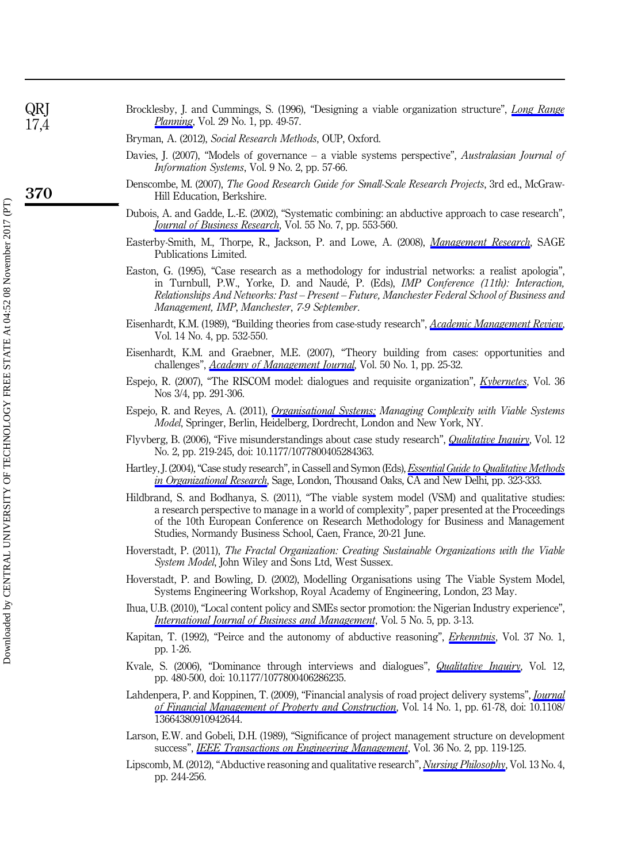- Brocklesby, J. and Cummings, S. (1996), "Designing a viable organization structure", [Long Range](http://www.emeraldinsight.com/action/showLinks?doi=10.1108%2FQRJ-08-2016-0048&crossref=10.1016%2F0024-6301%2895%2900065-8&isi=A1996TZ86400005&citationId=p_12) [Planning](http://www.emeraldinsight.com/action/showLinks?doi=10.1108%2FQRJ-08-2016-0048&crossref=10.1016%2F0024-6301%2895%2900065-8&isi=A1996TZ86400005&citationId=p_12), Vol. 29 No. 1, pp. 49-57.
	- Bryman, A. (2012), Social Research Methods, OUP, Oxford.
	- Davies, I. (2007), "Models of governance a viable systems perspective", Australasian Journal of Information Systems, Vol. 9 No. 2, pp. 57-66.
	- Denscombe, M. (2007), The Good Research Guide for Small-Scale Research Projects, 3rd ed., McGraw-Hill Education, Berkshire.
	- Dubois, A. and Gadde, L.-E. (2002), "Systematic combining: an abductive approach to case research", [Journal of Business Research](http://www.emeraldinsight.com/action/showLinks?doi=10.1108%2FQRJ-08-2016-0048&crossref=10.1016%2FS0148-2963%2800%2900195-8&isi=000176620200004&citationId=p_16), Vol. 55 No. 7, pp. 553-560.
	- Easterby-Smith, M., Thorpe, R., Jackson, P. and Lowe, A. (2008), *[Management Research](http://www.emeraldinsight.com/action/showLinks?doi=10.1108%2FQRJ-08-2016-0048&crossref=10.4135%2F9781412950589.n521&citationId=p_17)*, SAGE Publications Limited.
	- Easton, G. (1995), "Case research as a methodology for industrial networks: a realist apologia", in Turnbull, P.W., Yorke, D. and Naudé, P. (Eds), IMP Conference (11th): Interaction, Relationships And Networks: Past – Present – Future, Manchester Federal School of Business and Management, IMP, Manchester, 7-9 September.
	- Eisenhardt, K.M. (1989), "Building theories from case-study research", [Academic Management Review](http://www.emeraldinsight.com/action/showLinks?doi=10.1108%2FQRJ-08-2016-0048&isi=A1989AV14400005&citationId=p_19), Vol. 14 No. 4, pp. 532-550.
	- Eisenhardt, K.M. and Graebner, M.E. (2007), "Theory building from cases: opportunities and challenges", *[Academy of Management Journal](http://www.emeraldinsight.com/action/showLinks?doi=10.1108%2FQRJ-08-2016-0048&crossref=10.5465%2FAMJ.2007.24160888&isi=000244976900004&citationId=p_20)*, Vol. 50 No. 1, pp. 25-32.
	- Espejo, R. (2007), "The RISCOM model: dialogues and requisite organization", [Kybernetes](http://www.emeraldinsight.com/action/showLinks?doi=10.1108%2FQRJ-08-2016-0048&system=10.1108%2F03684920710746968&isi=000246779100002&citationId=p_21), Vol. 36 Nos 3/4, pp. 291-306.
	- Espejo, R. and Reyes, A. (2011), [Organisational Systems;](http://www.emeraldinsight.com/action/showLinks?doi=10.1108%2FQRJ-08-2016-0048&crossref=10.1007%2F978-3-642-19109-1&citationId=p_22) Managing Complexity with Viable Systems Model, Springer, Berlin, Heidelberg, Dordrecht, London and New York, NY.
	- Flyvberg, B. (2006), "Five misunderstandings about case study research", [Qualitative Inquiry](http://www.emeraldinsight.com/action/showLinks?doi=10.1108%2FQRJ-08-2016-0048&crossref=10.1177%2F1077800405284363&isi=000235894100001&citationId=p_23), Vol. 12 No. 2, pp. 219-245, doi: 10.1177/1077800405284363.
	- Hartley, J. (2004), "Case study research", in Cassell and Symon (Eds), *[Essential Guide to Qualitative Methods](http://www.emeraldinsight.com/action/showLinks?doi=10.1108%2FQRJ-08-2016-0048&crossref=10.4135%2F9781446280119.n26&citationId=p_24)* [in Organizational Research](http://www.emeraldinsight.com/action/showLinks?doi=10.1108%2FQRJ-08-2016-0048&crossref=10.4135%2F9781446280119.n26&citationId=p_24), Sage, London, Thousand Oaks, CA and New Delhi, pp. 323-333.
	- Hildbrand, S. and Bodhanya, S. (2011), "The viable system model (VSM) and qualitative studies: a research perspective to manage in a world of complexity", paper presented at the Proceedings of the 10th European Conference on Research Methodology for Business and Management Studies, Normandy Business School, Caen, France, 20-21 June.
	- Hoverstadt, P. (2011), The Fractal Organization: Creating Sustainable Organizations with the Viable System Model, John Wiley and Sons Ltd, West Sussex.
	- Hoverstadt, P. and Bowling, D. (2002), Modelling Organisations using The Viable System Model, Systems Engineering Workshop, Royal Academy of Engineering, London, 23 May.
	- Ihua, U.B. (2010), "Local content policy and SMEs sector promotion: the Nigerian Industry experience", [International Journal of Business and Management](http://www.emeraldinsight.com/action/showLinks?doi=10.1108%2FQRJ-08-2016-0048&crossref=10.5539%2Fijbm.v5n5p3&citationId=p_28), Vol. 5 No. 5, pp. 3-13.
	- Kapitan, T. (1992), "Peirce and the autonomy of abductive reasoning", [Erkenntnis](http://www.emeraldinsight.com/action/showLinks?doi=10.1108%2FQRJ-08-2016-0048&crossref=10.1007%2FBF00220630&citationId=p_29), Vol. 37 No. 1, pp. 1-26.
	- Kvale, S. (2006), "Dominance through interviews and dialogues", [Qualitative Inquiry](http://www.emeraldinsight.com/action/showLinks?doi=10.1108%2FQRJ-08-2016-0048&crossref=10.1177%2F1077800406286235&isi=000237473300003&citationId=p_30), Vol. 12, pp. 480-500, doi: 10.1177/1077800406286235.
	- Lahdenpera, P. and Koppinen, T. (2009), "Financial analysis of road project delivery systems", *[Journal](http://www.emeraldinsight.com/action/showLinks?doi=10.1108%2FQRJ-08-2016-0048&system=10.1108%2F13664380910942644&citationId=p_31)* [of Financial Management of Property and Construction](http://www.emeraldinsight.com/action/showLinks?doi=10.1108%2FQRJ-08-2016-0048&system=10.1108%2F13664380910942644&citationId=p_31), Vol. 14 No. 1, pp. 61-78, doi: 10.1108/ 13664380910942644.
	- Larson, E.W. and Gobeli, D.H. (1989), "Significance of project management structure on development success", [IEEE Transactions on Engineering Management](http://www.emeraldinsight.com/action/showLinks?doi=10.1108%2FQRJ-08-2016-0048&crossref=10.1109%2F17.18828&isi=A1989U359800006&citationId=p_32), Vol. 36 No. 2, pp. 119-125.
	- Lipscomb, M. (2012), "Abductive reasoning and qualitative research", *[Nursing Philosophy](http://www.emeraldinsight.com/action/showLinks?doi=10.1108%2FQRJ-08-2016-0048&crossref=10.1111%2Fj.1466-769X.2011.00532.x&isi=000308395300003&citationId=p_33)*, Vol. 13 No. 4, pp. 244-256.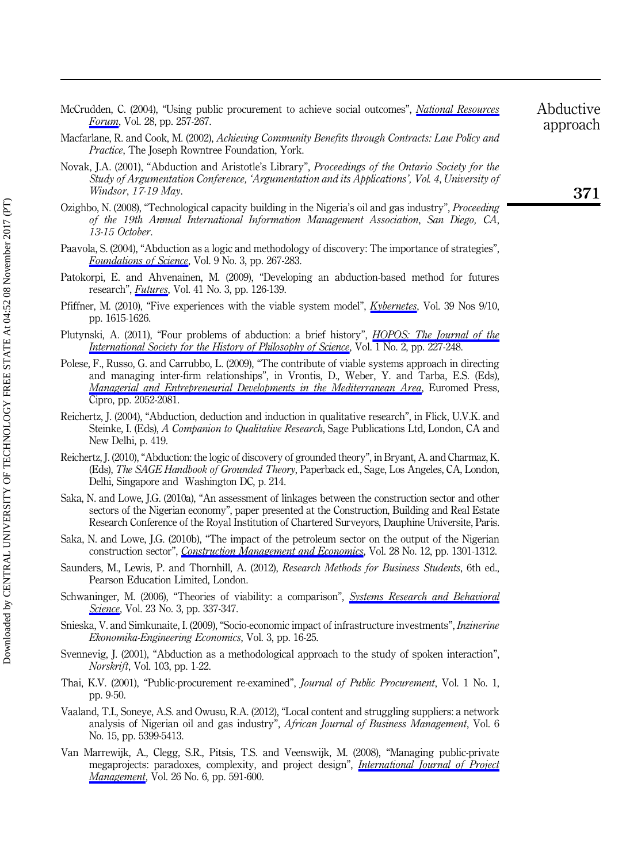- McCrudden, C. (2004), "Using public procurement to achieve social outcomes", [National Resources](http://www.emeraldinsight.com/action/showLinks?doi=10.1108%2FQRJ-08-2016-0048&crossref=10.1111%2Fj.1477-8947.2004.00099.x&isi=000226042000003&citationId=p_34) [Forum](http://www.emeraldinsight.com/action/showLinks?doi=10.1108%2FQRJ-08-2016-0048&crossref=10.1111%2Fj.1477-8947.2004.00099.x&isi=000226042000003&citationId=p_34), Vol. 28, pp. 257-267.
- Macfarlane, R. and Cook, M. (2002), Achieving Community Benefits through Contracts: Law Policy and Practice, The Joseph Rowntree Foundation, York.
- Novak, J.A. (2001), "Abduction and Aristotle's Library", Proceedings of the Ontario Society for the Study of Argumentation Conference, 'Argumentation and its Applications', Vol. 4, University of Windsor, 17-19 May.
- Ozighbo, N. (2008), "Technological capacity building in the Nigeria's oil and gas industry", Proceeding of the 19th Annual International Information Management Association, San Diego, CA, 13-15 October.
- Paavola, S. (2004), "Abduction as a logic and methodology of discovery: The importance of strategies", [Foundations of Science](http://www.emeraldinsight.com/action/showLinks?doi=10.1108%2FQRJ-08-2016-0048&crossref=10.1023%2FB%3AFODA.0000042843.48932.25&citationId=p_38), Vol. 9 No. 3, pp. 267-283.
- Patokorpi, E. and Ahvenainen, M. (2009), "Developing an abduction-based method for futures research", [Futures](http://www.emeraldinsight.com/action/showLinks?doi=10.1108%2FQRJ-08-2016-0048&crossref=10.1016%2Fj.futures.2008.09.019&isi=000265343400002&citationId=p_39), Vol. 41 No. 3, pp. 126-139.
- Pfiffner, M. (2010), "Five experiences with the viable system model", [Kybernetes](http://www.emeraldinsight.com/action/showLinks?doi=10.1108%2FQRJ-08-2016-0048&system=10.1108%2F03684921011081196&isi=000285955800012&citationId=p_40), Vol. 39 Nos 9/10, pp. 1615-1626.
- Plutynski, A. (2011), "Four problems of abduction: a brief history", *[HOPOS: The Journal of the](http://www.emeraldinsight.com/action/showLinks?doi=10.1108%2FQRJ-08-2016-0048&crossref=10.1086%2F660746&citationId=p_41)* [International Society for the History of Philosophy of Science](http://www.emeraldinsight.com/action/showLinks?doi=10.1108%2FQRJ-08-2016-0048&crossref=10.1086%2F660746&citationId=p_41), Vol. 1 No. 2, pp. 227-248.
- Polese, F., Russo, G. and Carrubbo, L. (2009), "The contribute of viable systems approach in directing and managing inter-firm relationships", in Vrontis, D., Weber, Y. and Tarba, E.S. (Eds), [Managerial and Entrepreneurial Developments in the Mediterranean Area](http://www.emeraldinsight.com/action/showLinks?doi=10.1108%2FQRJ-08-2016-0048&crossref=10.2139%2Fssrn.1488693&citationId=p_42), Euromed Press, Cipro, pp. 2052-2081.
- Reichertz, J. (2004), "Abduction, deduction and induction in qualitative research", in Flick, U.V.K. and Steinke, I. (Eds), A Companion to Qualitative Research, Sage Publications Ltd, London, CA and New Delhi, p. 419.
- Reichertz, J. (2010), "Abduction: the logic of discovery of grounded theory", in Bryant, A. and Charmaz, K. (Eds), The SAGE Handbook of Grounded Theory, Paperback ed., Sage, Los Angeles, CA, London, Delhi, Singapore and Washington DC, p. 214.
- Saka, N. and Lowe, J.G. (2010a), "An assessment of linkages between the construction sector and other sectors of the Nigerian economy", paper presented at the Construction, Building and Real Estate Research Conference of the Royal Institution of Chartered Surveyors, Dauphine Universite, Paris.
- Saka, N. and Lowe, J.G. (2010b), "The impact of the petroleum sector on the output of the Nigerian construction sector", [Construction Management and Economics](http://www.emeraldinsight.com/action/showLinks?doi=10.1108%2FQRJ-08-2016-0048&crossref=10.1080%2F01446193.2010.509402&citationId=p_46), Vol. 28 No. 12, pp. 1301-1312.
- Saunders, M., Lewis, P. and Thornhill, A. (2012), Research Methods for Business Students, 6th ed., Pearson Education Limited, London.
- Schwaninger, M. (2006), "Theories of viability: a comparison", [Systems Research and Behavioral](http://www.emeraldinsight.com/action/showLinks?doi=10.1108%2FQRJ-08-2016-0048&crossref=10.1002%2Fsres.731&isi=000238733000008&citationId=p_48) [Science](http://www.emeraldinsight.com/action/showLinks?doi=10.1108%2FQRJ-08-2016-0048&crossref=10.1002%2Fsres.731&isi=000238733000008&citationId=p_48), Vol. 23 No. 3, pp. 337-347.
- Snieska, V. and Simkunaite, I. (2009), "Socio-economic impact of infrastructure investments", Inzinerine Ekonomika-Engineering Economics, Vol. 3, pp. 16-25.
- Svennevig, J. (2001), "Abduction as a methodological approach to the study of spoken interaction", Norskrift, Vol. 103, pp. 1-22.
- Thai, K.V. (2001), "Public-procurement re-examined", Journal of Public Procurement, Vol. 1 No. 1, pp. 9-50.
- Vaaland, T.I., Soneye, A.S. and Owusu, R.A. (2012), "Local content and struggling suppliers: a network analysis of Nigerian oil and gas industry", African Journal of Business Management, Vol. 6 No. 15, pp. 5399-5413.
- Van Marrewijk, A., Clegg, S.R., Pitsis, T.S. and Veenswijk, M. (2008), "Managing public-private megaprojects: paradoxes, complexity, and project design", *[International Journal of Project](http://www.emeraldinsight.com/action/showLinks?doi=10.1108%2FQRJ-08-2016-0048&crossref=10.1016%2Fj.ijproman.2007.09.007&citationId=p_53)* [Management](http://www.emeraldinsight.com/action/showLinks?doi=10.1108%2FQRJ-08-2016-0048&crossref=10.1016%2Fj.ijproman.2007.09.007&citationId=p_53), Vol. 26 No. 6, pp. 591-600.